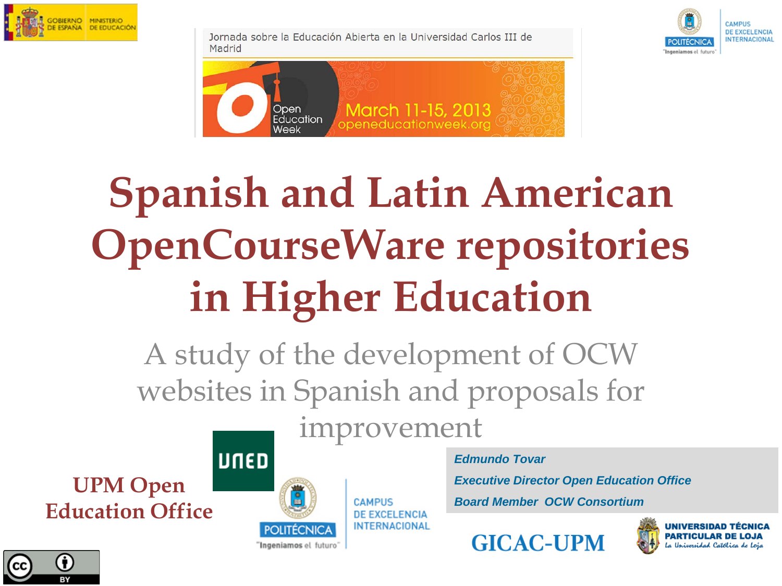

Jornada sobre la Educación Abierta en la Universidad Carlos III de Madrid





### **Spanish and Latin American OpenCourseWare repositories in Higher Education**

A study of the development of OCW websites in Spanish and proposals for

**UPM Open Education Office**





improvement

POLITECNICA "Ingeniamos el futuro"

**CAMPUS** *DE EXCELENCIA* **INTERNACIONAL**  *Edmundo Tovar*

*Executive Director Open Education Office*

*Board Member OCW Consortium*



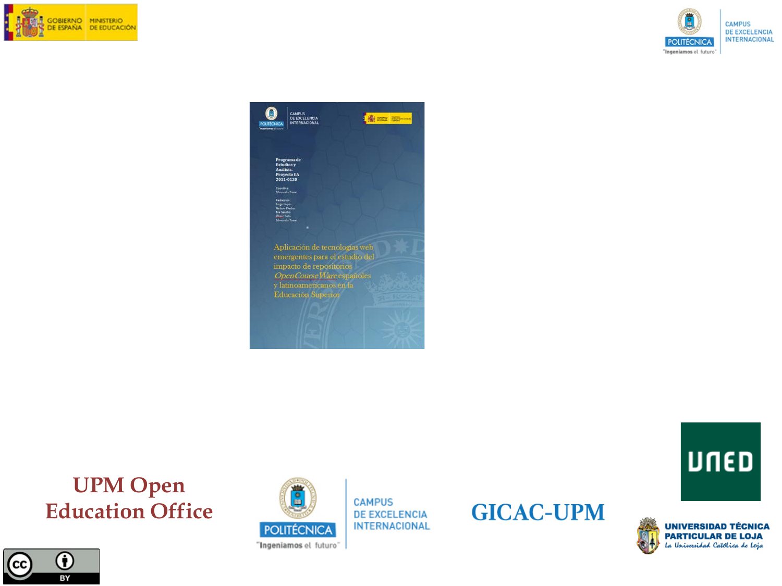





**UPM Open Education Office**





**CAMPUS DE EXCELENCIA INTERNACIONAL** 

#### **GICAC-UPM**

**UNIVERSIDAD TÉCNICA PARTICULAR DE LOJA** La Universidad Católica de Loja

**UNED**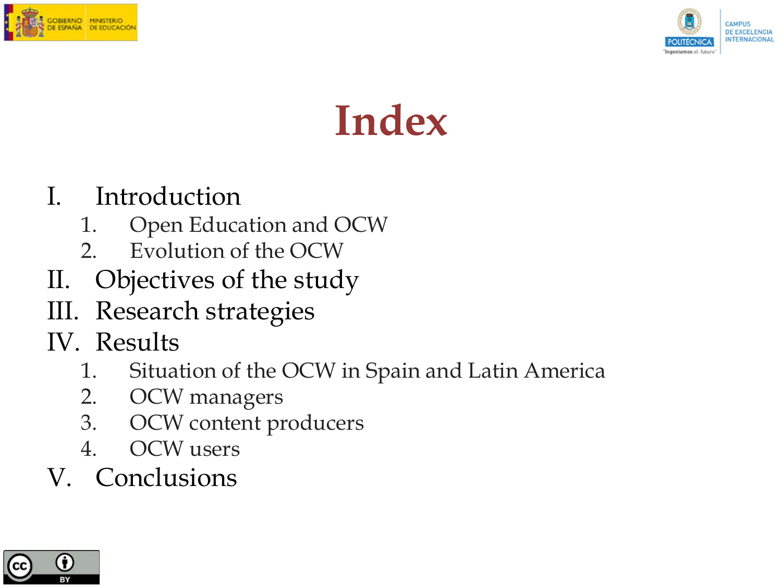



#### **Index**

#### I. Introduction

- 1. Open Education and OCW
- 2. Evolution of the OCW
- II. Objectives of the study
- III. Research strategies
- IV. Results
	- 1. Situation of the OCW in Spain and Latin America
	- 2. OCW managers
	- 3. OCW content producers
	- 4. OCW users
- V. Conclusions

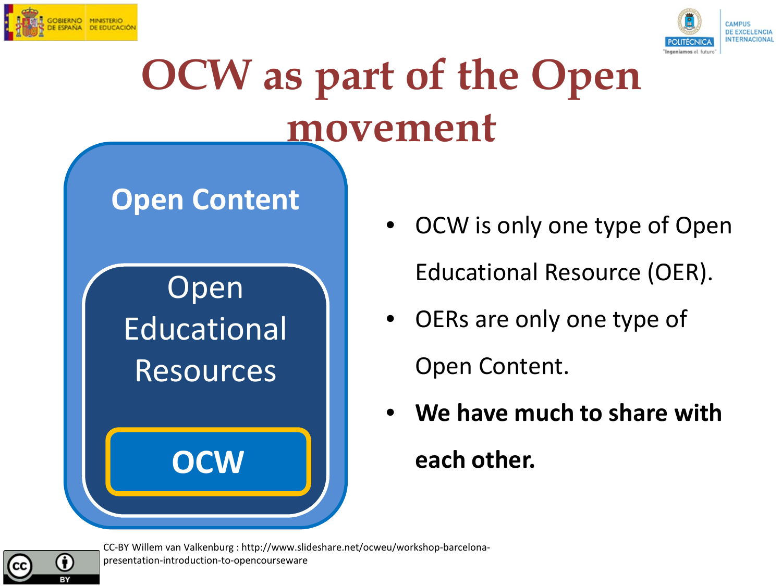

A



#### **OCW as part of the Open movement**

#### **Open Content**

#### Open Educational Resources

**OCW**

- OCW is only one type of Open Educational Resource (OER).
- OERs are only one type of

Open Content.

• **We have much to share with each other.**

CC-BY Willem van Valkenburg : http://www.slideshare.net/ocweu/workshop-barcelonapresentation-introduction-to-opencourseware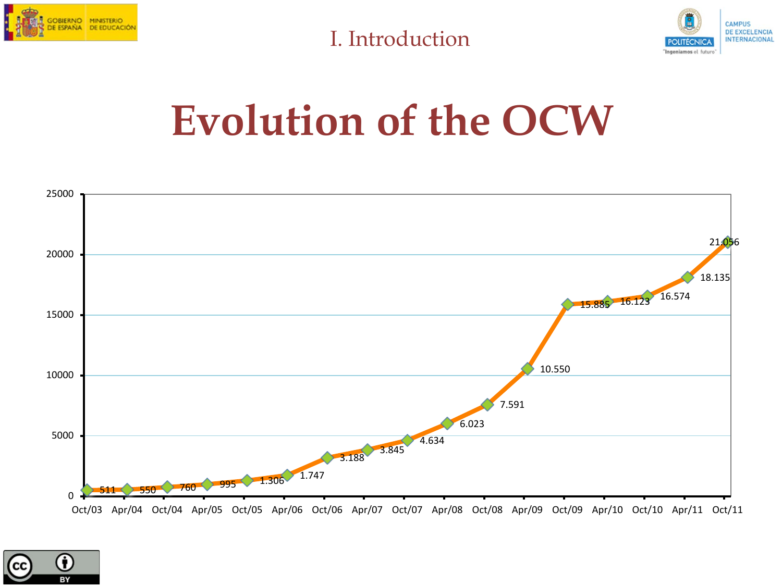

I. Introduction



#### **Evolution of the OCW**



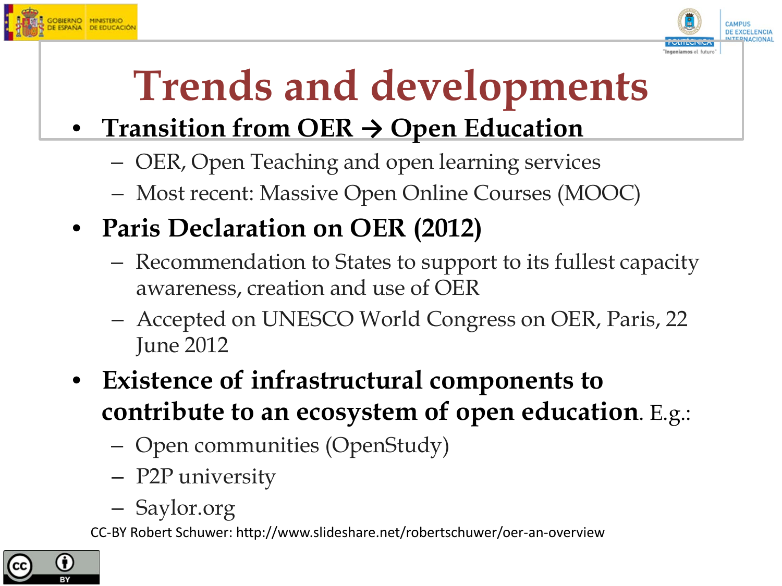



## **Trends and developments**

#### • **Transition from OER → Open Education**

- OER, Open Teaching and open learning services
- Most recent: Massive Open Online Courses (MOOC)
- **Paris Declaration on OER (2012)**
	- Recommendation to States to support to its fullest capacity awareness, creation and use of OER
	- Accepted on UNESCO World Congress on OER, Paris, 22 June 2012
- **Existence of infrastructural components to contribute to an ecosystem of open education**. E.g.:
	- Open communities (OpenStudy)
	- P2P university
	- Saylor.org

CC-BY Robert Schuwer: http://www.slideshare.net/robertschuwer/oer-an-overview

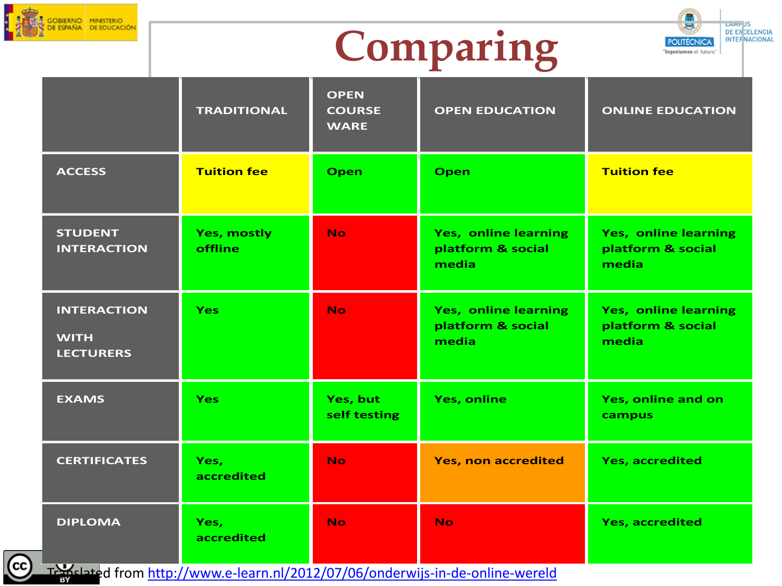

 $\left($ cc





|                                                       | <b>TRADITIONAL</b>                   | <b>OPEN</b><br><b>COURSE</b><br><b>WARE</b> | <b>OPEN EDUCATION</b>                                     | <b>ONLINE EDUCATION</b>                            |
|-------------------------------------------------------|--------------------------------------|---------------------------------------------|-----------------------------------------------------------|----------------------------------------------------|
| <b>ACCESS</b>                                         | <b>Tuition fee</b>                   | <b>Open</b>                                 | Open                                                      | <b>Tuition fee</b>                                 |
| <b>STUDENT</b><br><b>INTERACTION</b>                  | <b>Yes, mostly</b><br><b>offline</b> | <b>No</b>                                   | <b>Yes, online learning</b><br>platform & social<br>media | Yes, online learning<br>platform & social<br>media |
| <b>INTERACTION</b><br><b>WITH</b><br><b>LECTURERS</b> | <b>Yes</b>                           | No.                                         | Yes, online learning<br>platform & social<br>media        | Yes, online learning<br>platform & social<br>media |
| <b>EXAMS</b>                                          | <b>Yes</b>                           | Yes, but<br>self testing                    | <b>Yes, online</b>                                        | Yes, online and on<br>campus                       |
| <b>CERTIFICATES</b>                                   | Yes,<br>accredited                   | <b>No</b>                                   | <b>Yes, non accredited</b>                                | <b>Yes, accredited</b>                             |
| <b>DIPLOMA</b>                                        | Yes,<br>accredited                   | <b>No</b>                                   | <b>No</b>                                                 | <b>Yes, accredited</b>                             |

Translated from<http://www.e-learn.nl/2012/07/06/onderwijs-in-de-online-wereld>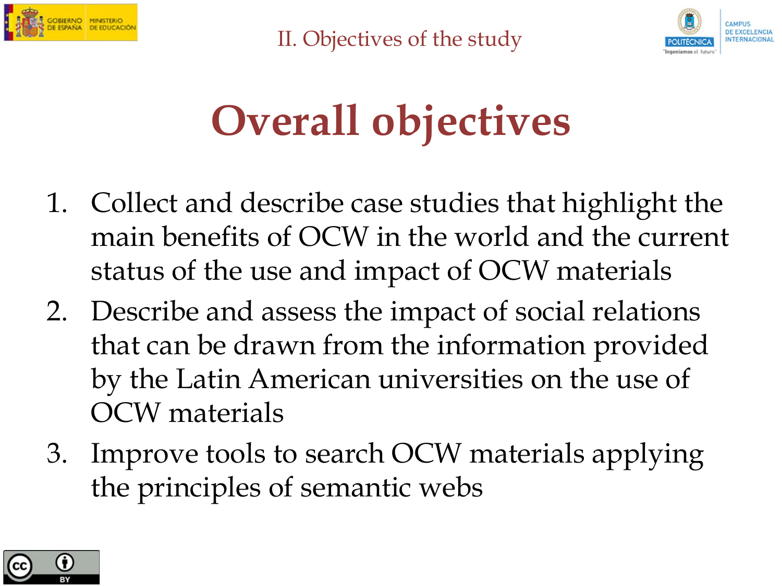

II. Objectives of the study



### **Overall objectives**

- 1. Collect and describe case studies that highlight the main benefits of OCW in the world and the current status of the use and impact of OCW materials
- 2. Describe and assess the impact of social relations that can be drawn from the information provided by the Latin American universities on the use of OCW materials
- 3. Improve tools to search OCW materials applying the principles of semantic webs

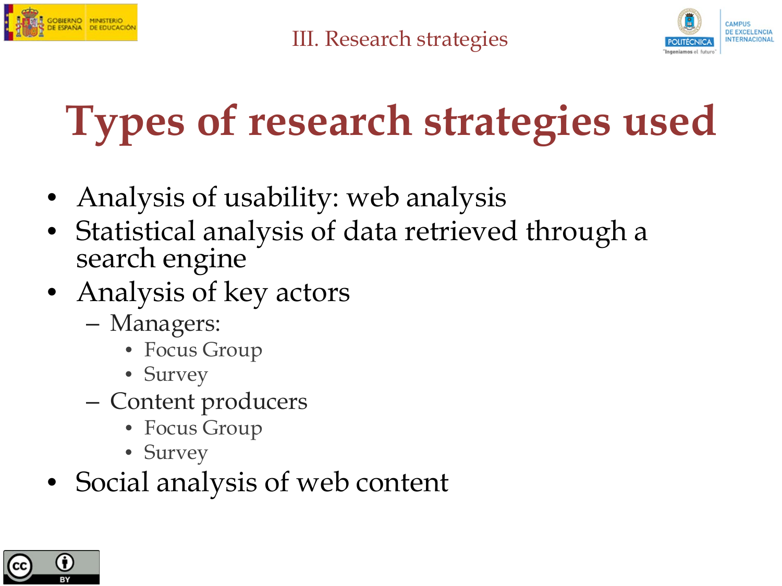



## **Types of research strategies used**

- Analysis of usability: web analysis
- Statistical analysis of data retrieved through a search engine
- Analysis of key actors
	- Managers:
		- Focus Group
		- Survey
	- Content producers
		- Focus Group
		- Survey
- Social analysis of web content

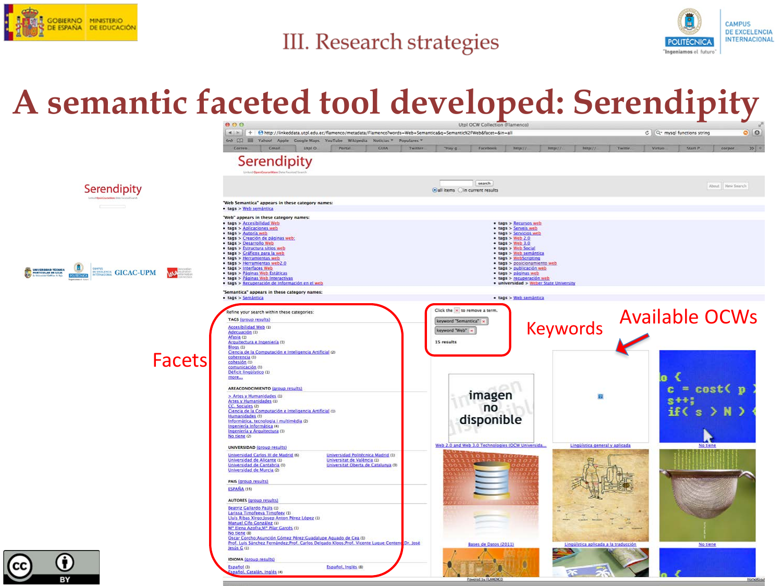

#### **III. Research strategies**



#### **A semantic faceted tool developed: Serendipity**



owered by FLAMENCO

spañol, Catalán, Inglés (4)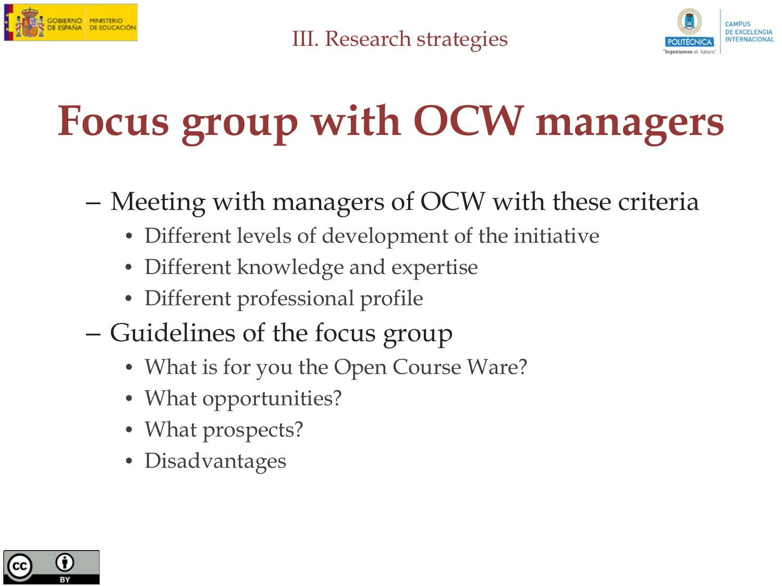



## **Focus group with OCW managers**

- Meeting with managers of OCW with these criteria
	- Different levels of development of the initiative
	- Different knowledge and expertise
	- Different professional profile
- Guidelines of the focus group
	- What is for you the Open Course Ware?
	- What opportunities?
	- What prospects?
	- Disadvantages

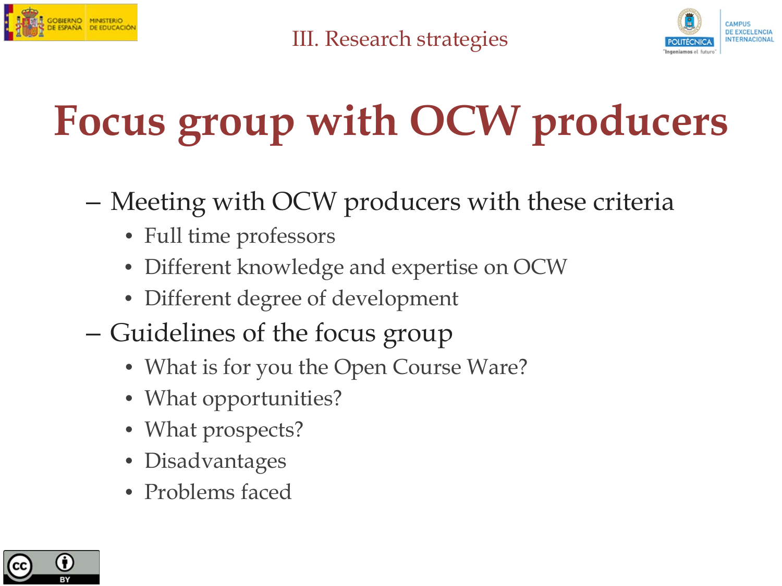



## **Focus group with OCW producers**

- Meeting with OCW producers with these criteria
	- Full time professors
	- Different knowledge and expertise on OCW
	- Different degree of development
- Guidelines of the focus group
	- What is for you the Open Course Ware?
	- What opportunities?
	- What prospects?
	- Disadvantages
	- Problems faced

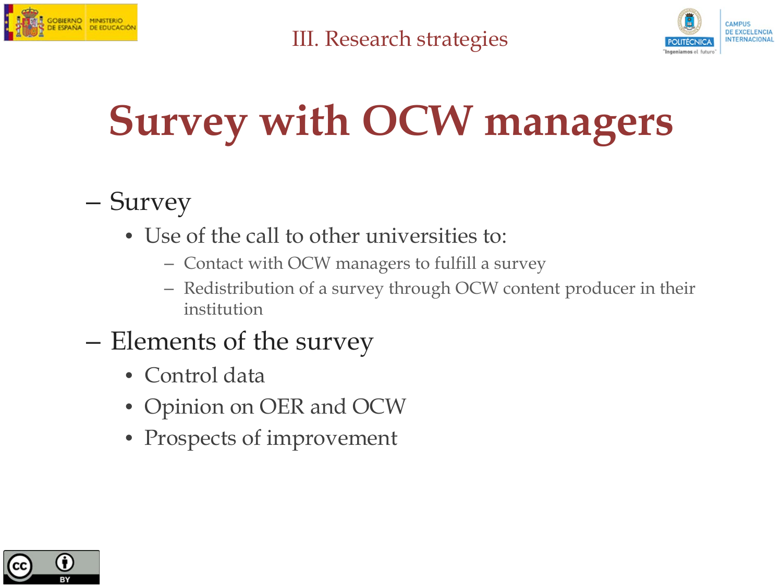



## **Survey with OCW managers**

#### – Survey

- Use of the call to other universities to:
	- Contact with OCW managers to fulfill a survey
	- Redistribution of a survey through OCW content producer in their institution
- Elements of the survey
	- Control data
	- Opinion on OER and OCW
	- Prospects of improvement

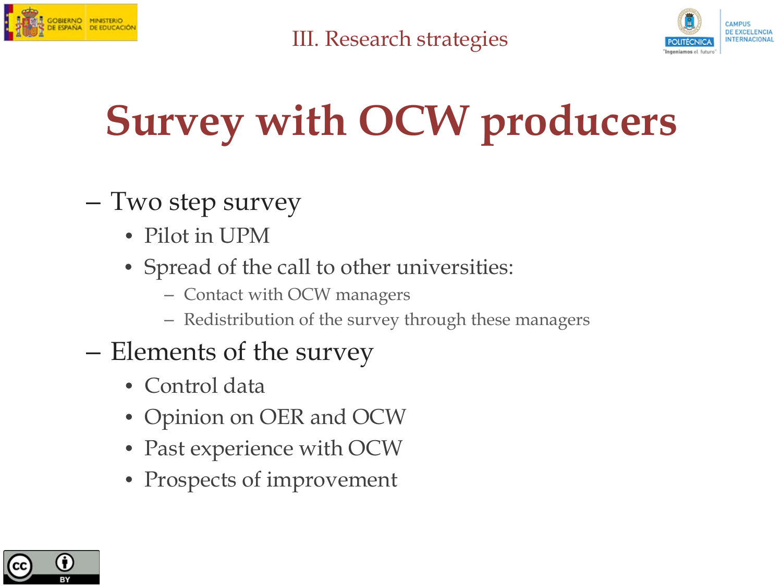



## **Survey with OCW producers**

#### – Two step survey

- Pilot in UPM
- Spread of the call to other universities:
	- Contact with OCW managers
	- Redistribution of the survey through these managers
- Elements of the survey
	- Control data
	- Opinion on OER and OCW
	- Past experience with OCW
	- Prospects of improvement

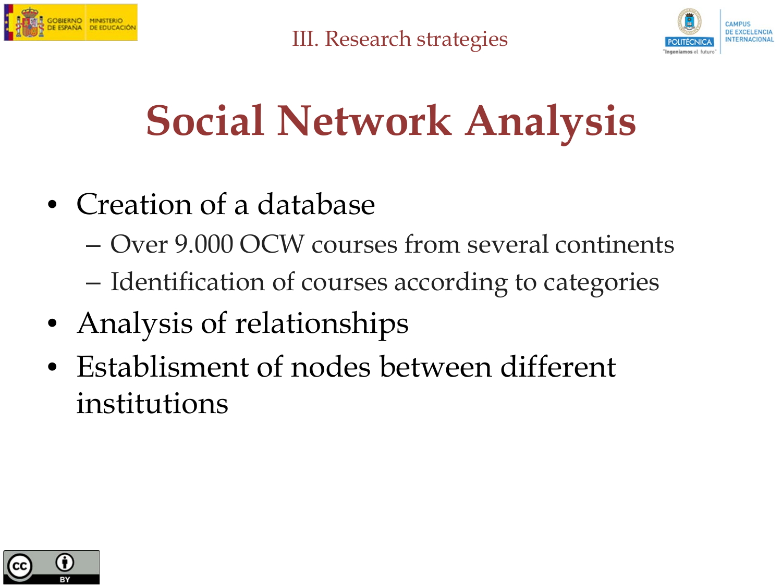



### **Social Network Analysis**

- Creation of a database
	- Over 9.000 OCW courses from several continents
	- Identification of courses according to categories
- Analysis of relationships
- Establisment of nodes between different institutions

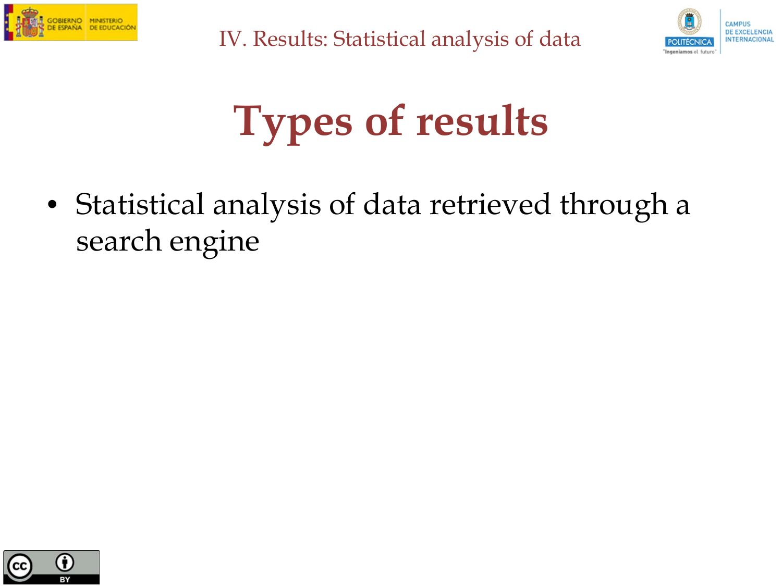



### **Types of results**

• Statistical analysis of data retrieved through a search engine

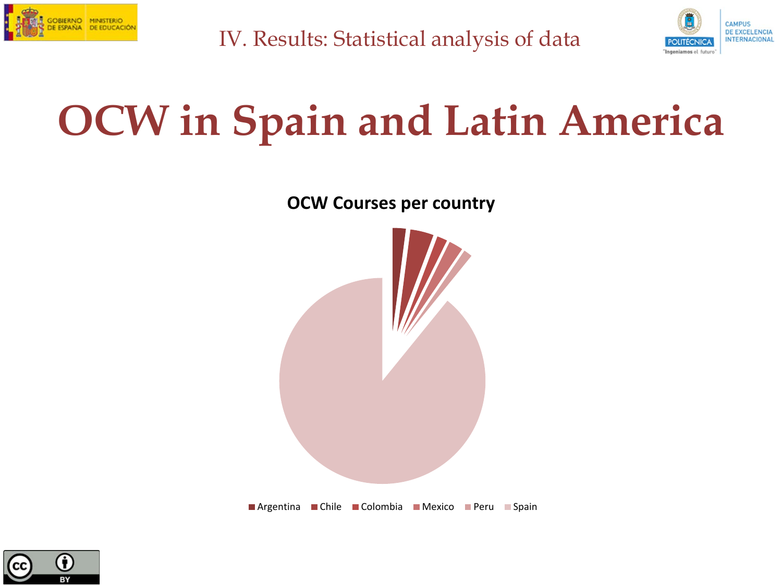



#### **OCW in Spain and Latin America**

**OCW Courses per country**



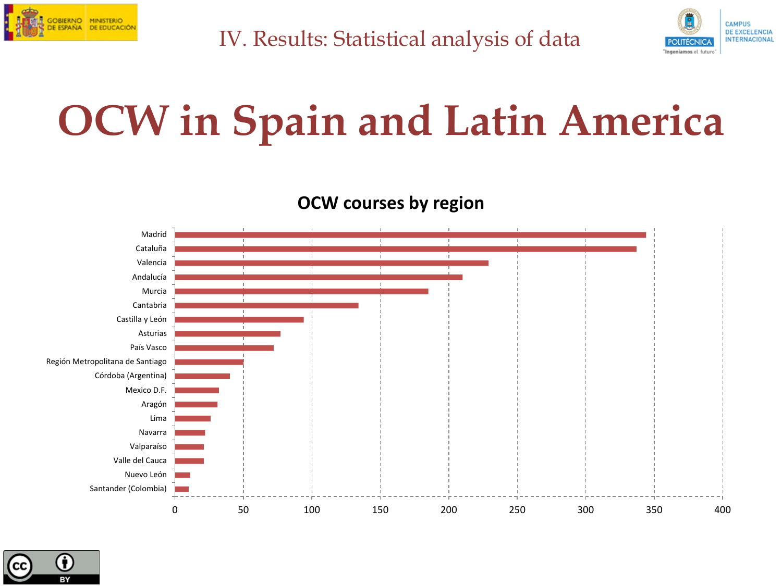



### **OCW in Spain and Latin America**

**OCW courses by region**



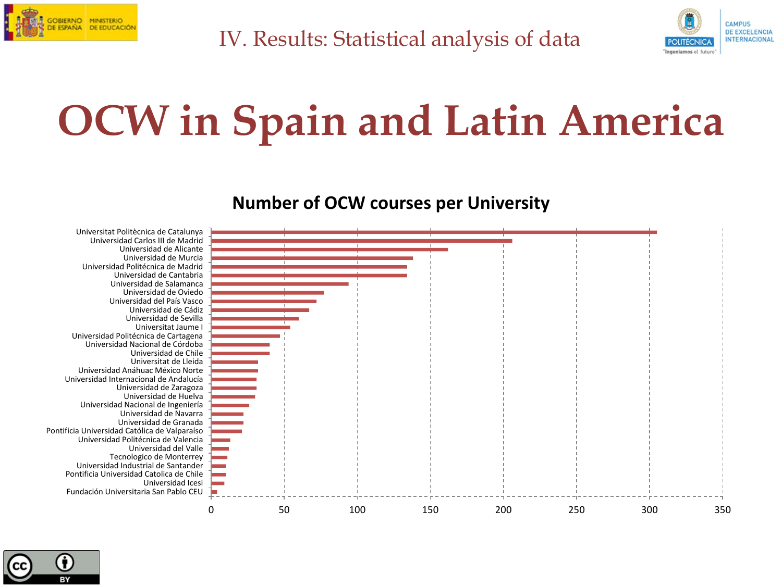



### **OCW in Spain and Latin America**

**Number of OCW courses per University**



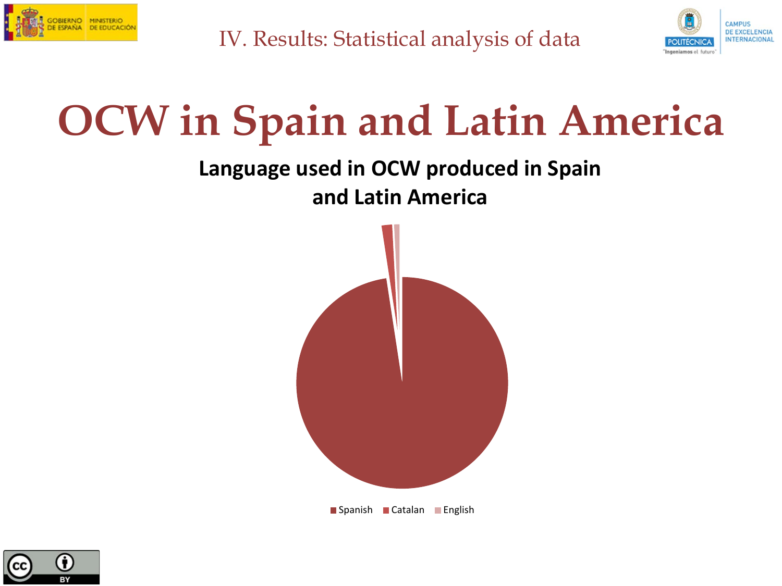



#### **OCW in Spain and Latin America**

#### **Language used in OCW produced in Spain and Latin America**



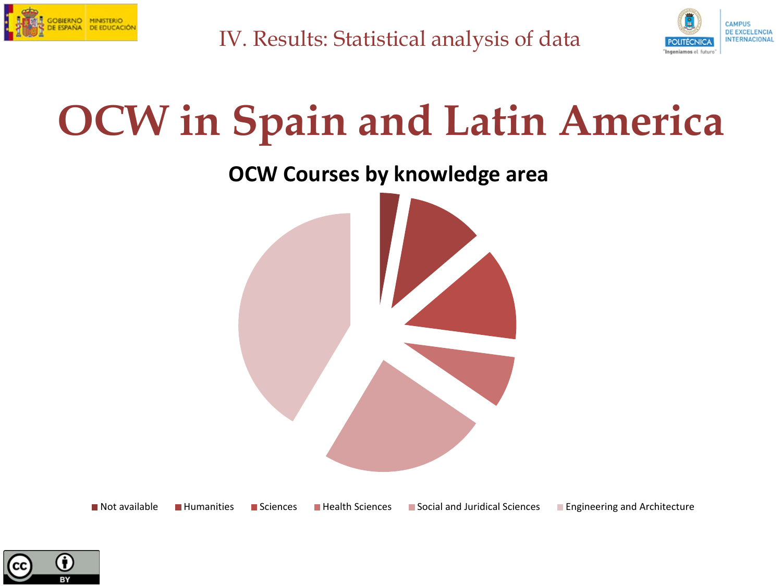



#### **OCW in Spain and Latin America**

**OCW Courses by knowledge area**



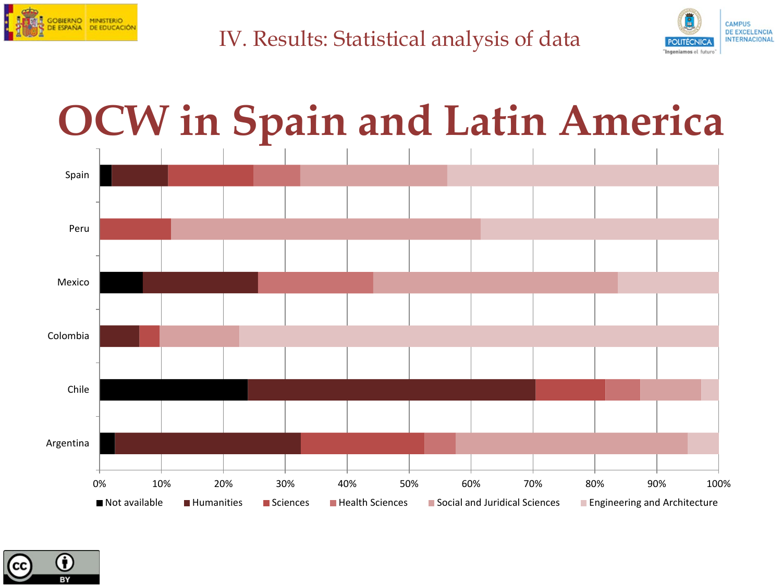



#### 0% 10% 20% 30% 40% 50% 60% 70% 80% 90% 100% Argentina Chile Colombia Mexico Peru Spain Not available **Humanities** Sciences Health Sciences Social and Juridical Sciences Engineering and Architecture **OCW in Spain and Latin America**

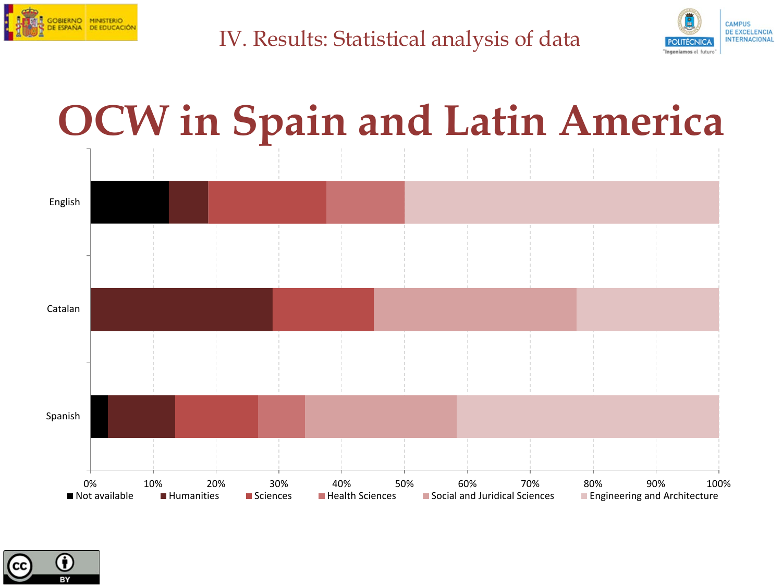



#### **OCW in Spain and Latin America**



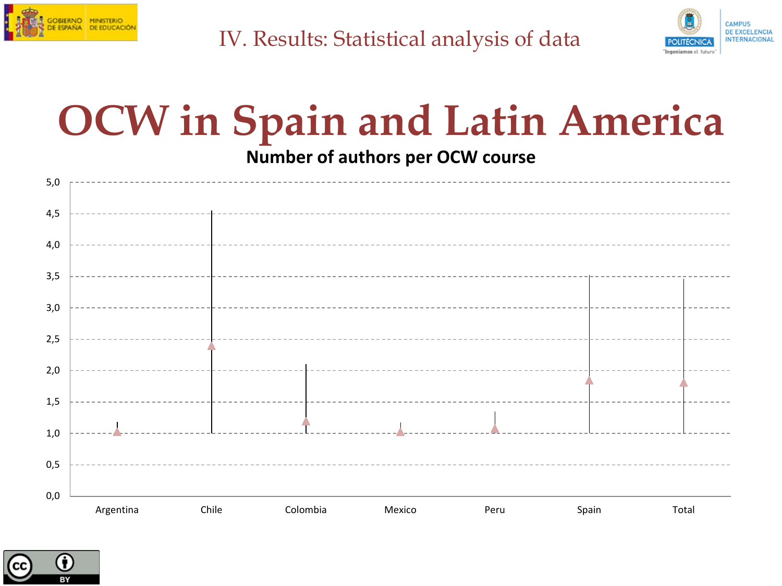



## **OCW in Spain and Latin America**

**Number of authors per OCW course**



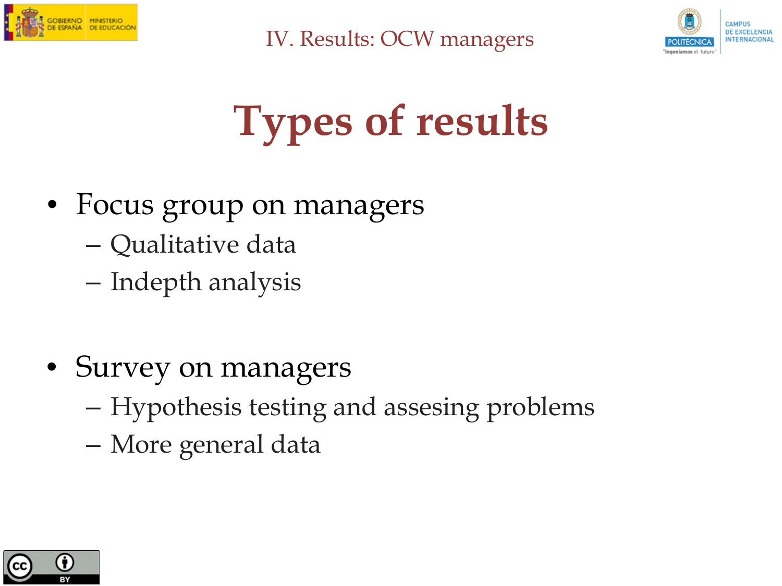



## **Types of results**

- Focus group on managers
	- Qualitative data
	- Indepth analysis
- Survey on managers
	- Hypothesis testing and assesing problems
	- More general data

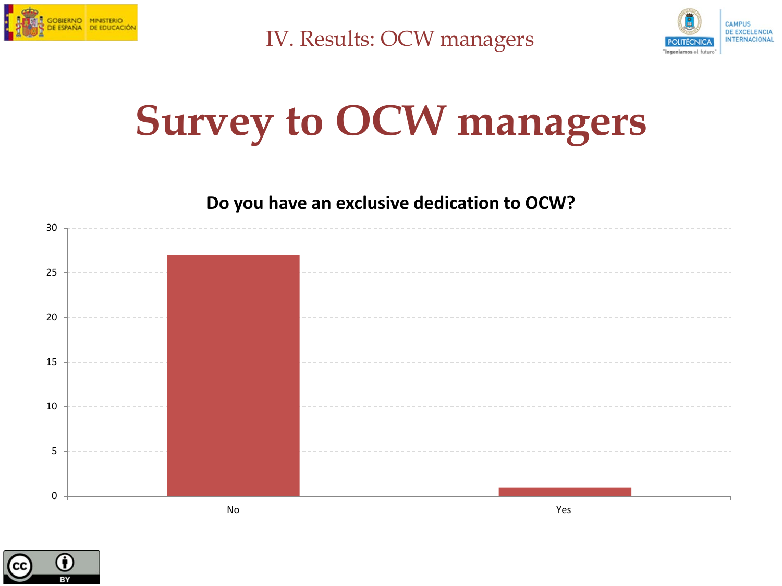



#### **Survey to OCW managers**



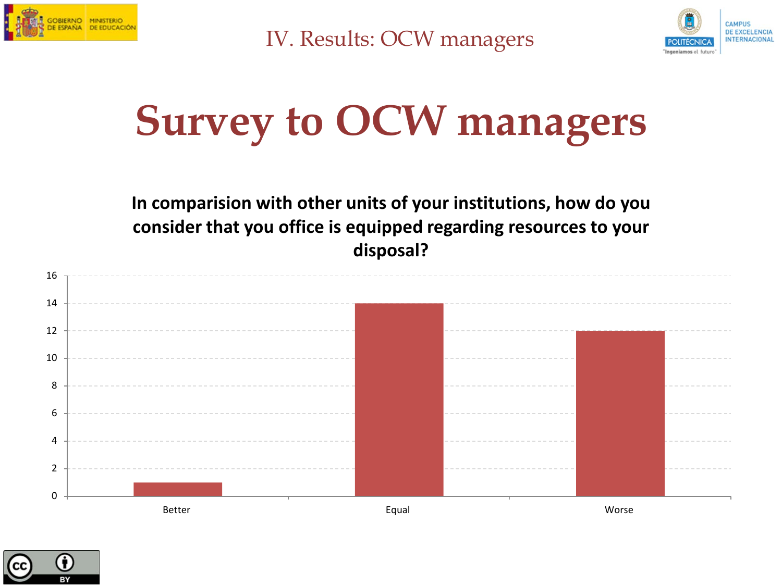



#### **Survey to OCW managers**

**In comparision with other units of your institutions, how do you consider that you office is equipped regarding resources to your disposal?** 



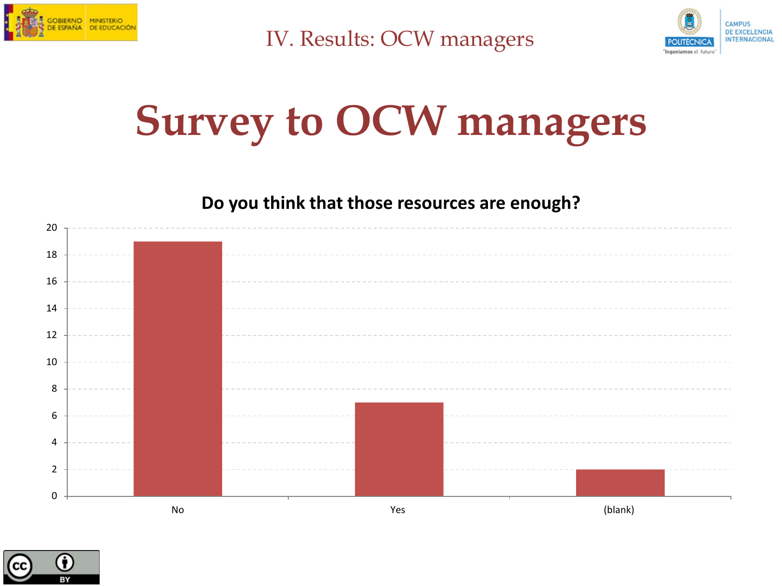



#### **Survey to OCW managers**



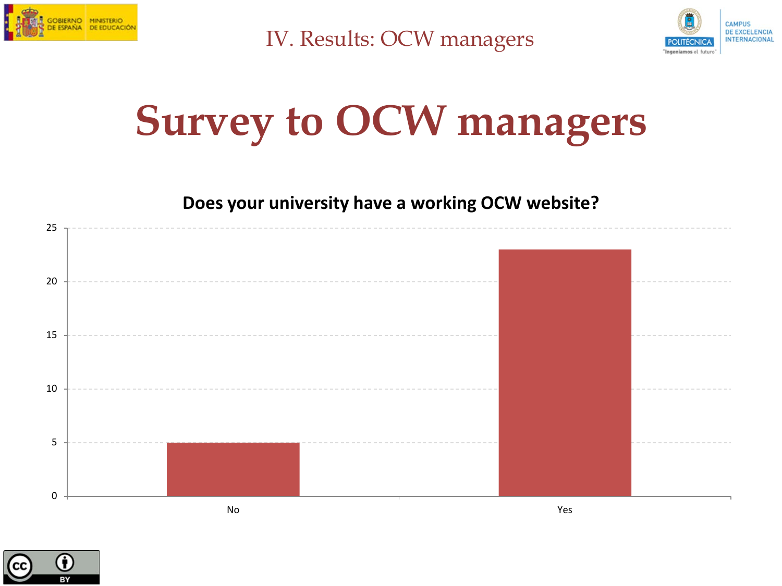



#### **Survey to OCW managers**





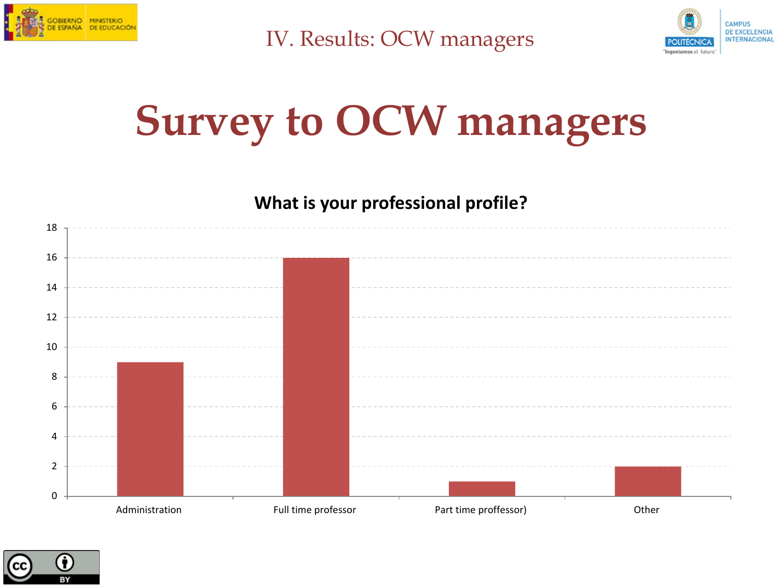



#### **Survey to OCW managers**

**What is your professional profile?** 



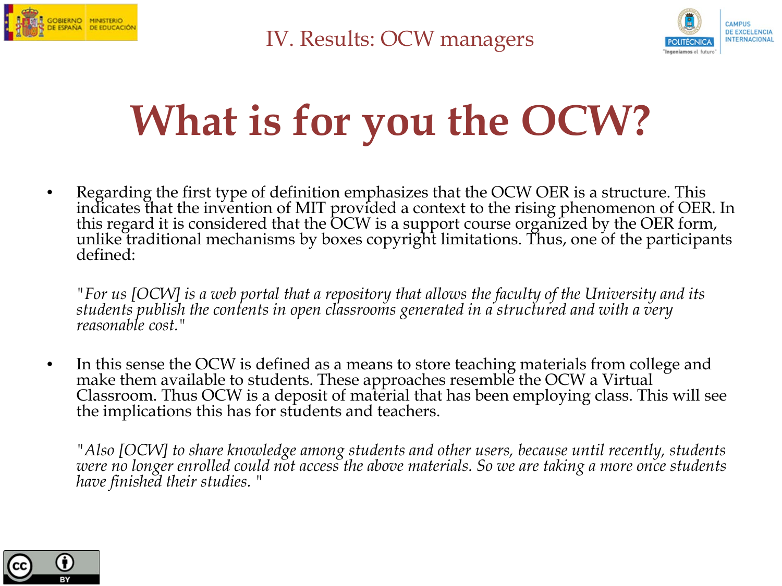



### **What is for you the OCW?**

• Regarding the first type of definition emphasizes that the OCW OER is a structure. This indicates that the invention of MIT provided a context to the rising phenomenon of OER. In this regard it is considered that the OCW is a support course organized by the OER form, unlike traditional mechanisms by boxes copyright limitations. Thus, one of the participants defined:

*"For us [OCW] is a web portal that a repository that allows the faculty of the University and its students publish the contents in open classrooms generated in a structured and with a very reasonable cost."*

• In this sense the OCW is defined as a means to store teaching materials from college and make them available to students. These approaches resemble the OCW a Virtual Classroom. Thus OCW is a deposit of material that has been employing class. This will see the implications this has for students and teachers.

*"Also [OCW] to share knowledge among students and other users, because until recently, students were no longer enrolled could not access the above materials. So we are taking a more once students have finished their studies. "*

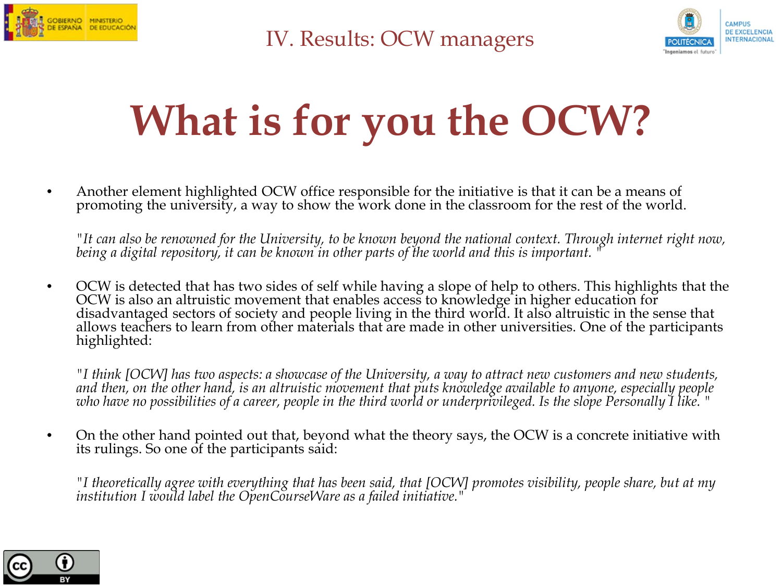



### **What is for you the OCW?**

• Another element highlighted OCW office responsible for the initiative is that it can be a means of promoting the university, a way to show the work done in the classroom for the rest of the world.

 *"It can also be renowned for the University, to be known beyond the national context. Through internet right now, being a digital repository, it can be known in other parts of the world and this is important. "* 

• OCW is detected that has two sides of self while having a slope of help to others. This highlights that the OCW is also an altruistic movement that enables access to knowledge in higher education for disadvantaged sectors of society and people living in the third world. It also altruistic in the sense that allows teachers to learn from other materials that are made in other universities. One of the participants highlighted:

*"I think [OCW] has two aspects: a showcase of the University, a way to attract new customers and new students, and then, on the other hand, is an altruistic movement that puts knowledge available to anyone, especially people who have no possibilities of a career, people in the third world or underprivileged. Is the slope Personally I like. "* 

• On the other hand pointed out that, beyond what the theory says, the OCW is a concrete initiative with its rulings. So one of the participants said:

*"I theoretically agree with everything that has been said, that [OCW] promotes visibility, people share, but at my institution I would label the OpenCourseWare as a failed initiative."* 

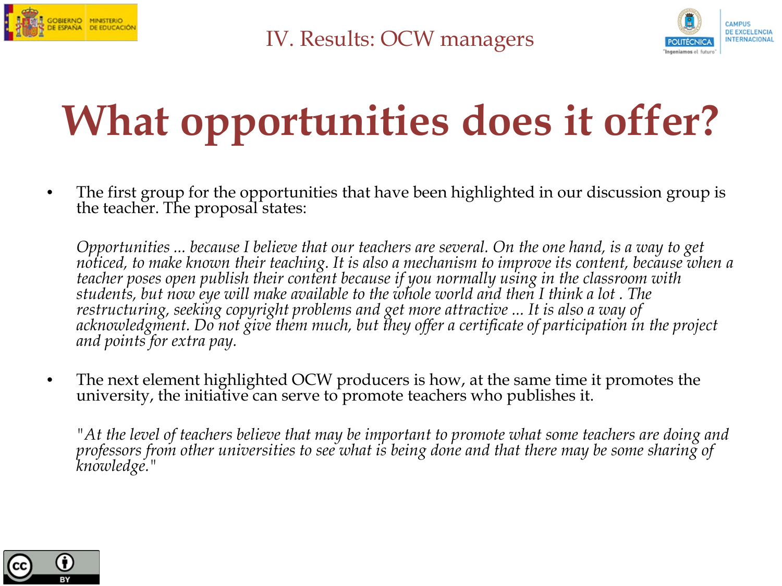



### **What opportunities does it offer?**

• The first group for the opportunities that have been highlighted in our discussion group is the teacher. The proposal states:

*Opportunities ... because I believe that our teachers are several. On the one hand, is a way to get noticed, to make known their teaching. It is also a mechanism to improve its content, because when a teacher poses open publish their content because if you normally using in the classroom with students, but now eye will make available to the whole world and then I think a lot . The restructuring, seeking copyright problems and get more attractive ... It is also a way of acknowledgment. Do not give them much, but they offer a certificate of participation in the project and points for extra pay.*

• The next element highlighted OCW producers is how, at the same time it promotes the university, the initiative can serve to promote teachers who publishes it.

*"At the level of teachers believe that may be important to promote what some teachers are doing and professors from other universities to see what is being done and that there may be some sharing of knowledge."*

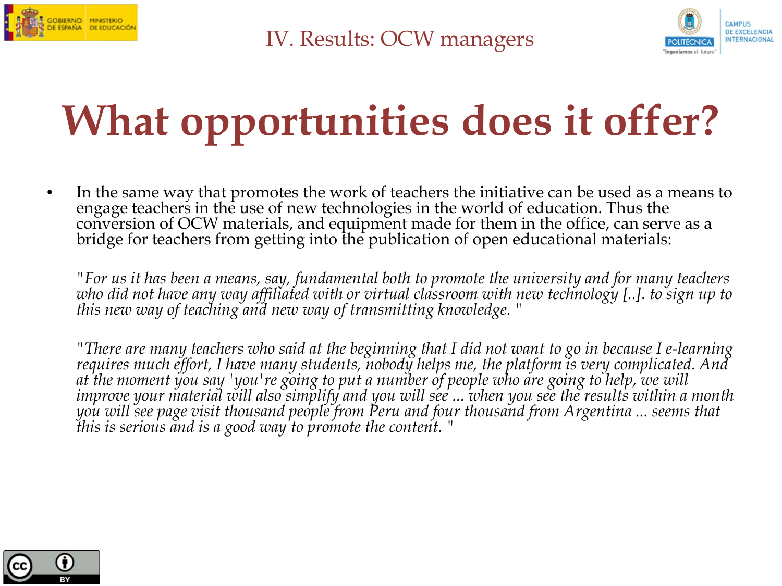



### **What opportunities does it offer?**

• In the same way that promotes the work of teachers the initiative can be used as a means to engage teachers in the use of new technologies in the world of education. Thus the conversion of OCW materials, and equipment made for them in the office, can serve as a bridge for teachers from getting into the publication of open educational materials:

*"For us it has been a means, say, fundamental both to promote the university and for many teachers who did not have any way affiliated with or virtual classroom with new technology [..]. to sign up to this new way of teaching and new way of transmitting knowledge. "*

*"There are many teachers who said at the beginning that I did not want to go in because I e-learning requires much effort, I have many students, nobody helps me, the platform is very complicated. And at the moment you say 'you're going to put a number of people who are going to help, we will improve your material will also simplify and you will see ... when you see the results within a month you will see page visit thousand people from Peru and four thousand from Argentina ... seems that this is serious and is a good way to promote the content. "*

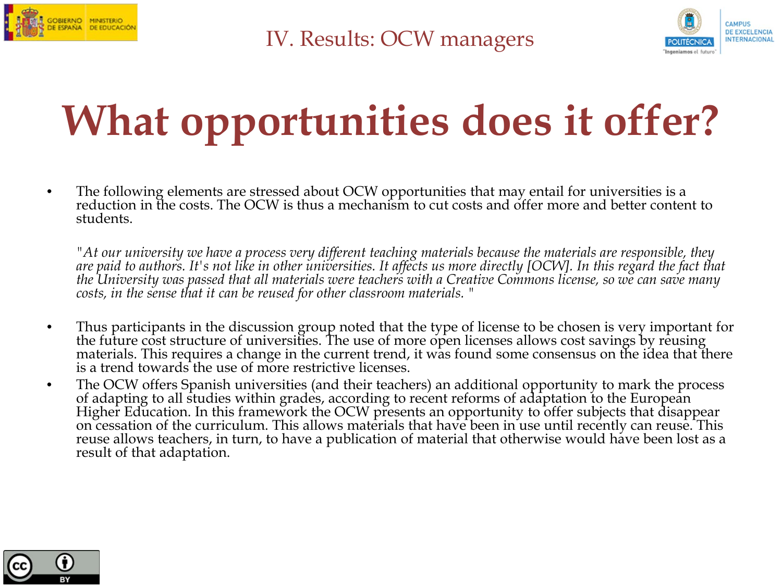



### **What opportunities does it offer?**

• The following elements are stressed about OCW opportunities that may entail for universities is a reduction in the costs. The OCW is thus a mechanism to cut costs and offer more and better content to students.

"At our university we have a process very different teaching materials because the materials are responsible, they<br>are paid to authors. It's not like in other universities. It affects us more directly [OCW]. In this regard *the University was passed that all materials were teachers with a Creative Commons license, so we can save many costs, in the sense that it can be reused for other classroom materials. "* 

- Thus participants in the discussion group noted that the type of license to be chosen is very important for the future cost structure of universities. The use of more open licenses allows cost savings by reusing materials. This requires a change in the current trend, it was found some consensus on the idea that there is a trend towards the use of more restrictive licenses.
- The OCW offers Spanish universities (and their teachers) an additional opportunity to mark the process of adapting to all studies within grades, according to recent reforms of adaptation to the European Higher Education. In this framework the OCW presents an opportunity to offer subjects that disappear on cessation of the curriculum. This allows materials that have been in use until recently can reuse. This reuse allows teachers, in turn, to have a publication of material that otherwise would have been lost as a result of that adaptation.

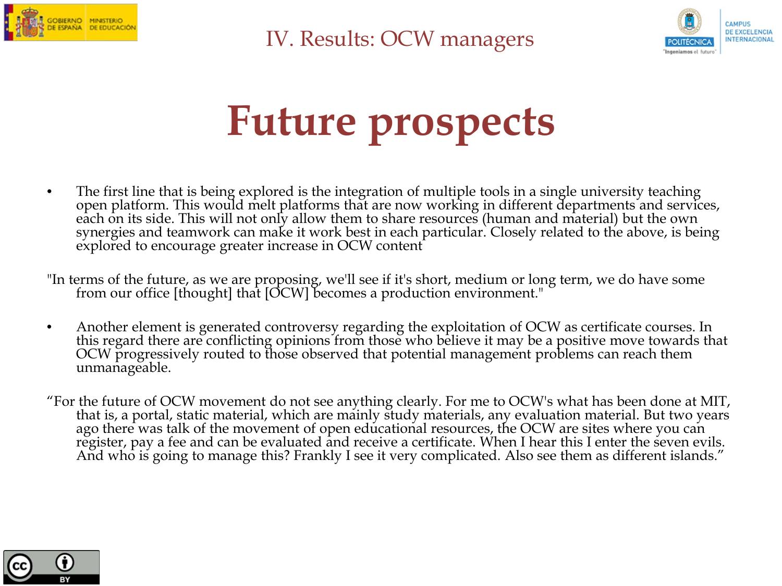



#### **Future prospects**

- The first line that is being explored is the integration of multiple tools in a single university teaching open platform. This would melt platforms that are now working in different departments and services, each on its side. This will not only allow them to share resources (human and material) but the own synergies and teamwork can make it work best in each particular. Closely related to the above, is being explored to encourage greater increase in OCW content
- "In terms of the future, as we are proposing, we'll see if it's short, medium or long term, we do have some from our office [thought] that [OCW] becomes a production environment."
- Another element is generated controversy regarding the exploitation of OCW as certificate courses. In this regard there are conflicting opinions from those who believe it may be a positive move towards that OCW progressively routed to those observed that potential management problems can reach them unmanageable.
- "For the future of OCW movement do not see anything clearly. For me to OCW's what has been done at MIT, that is, a portal, static material, which are mainly study materials, any evaluation material. But two years ago there was talk of the movement of open educational resources, the OCW are sites where you can register, pay a fee and can be evaluated and receive a certificate. When I hear this I enter the seven evils. And who is going to manage this? Frankly I see it very complicated. Also see them as different islands."

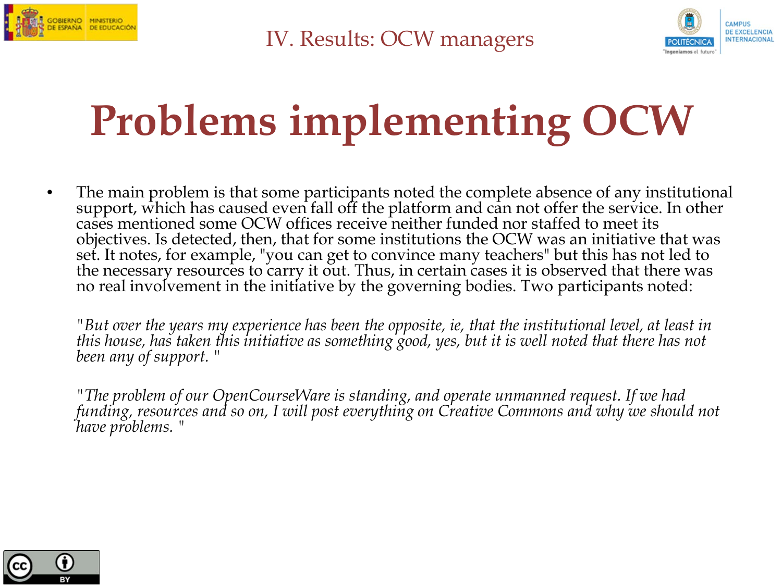



### **Problems implementing OCW**

• The main problem is that some participants noted the complete absence of any institutional support, which has caused even fall off the platform and can not offer the service. In other cases mentioned some OCW offices receive neither funded nor staffed to meet its objectives. Is detected, then, that for some institutions the OCW was an initiative that was set. It notes, for example, "you can get to convince many teachers" but this has not led to the necessary resources to carry it out. Thus, in certain cases it is observed that there was no real involvement in the initiative by the governing bodies. Two participants noted:

*"But over the years my experience has been the opposite, ie, that the institutional level, at least in this house, has taken this initiative as something good, yes, but it is well noted that there has not been any of support. "*

*"The problem of our OpenCourseWare is standing, and operate unmanned request. If we had funding, resources and so on, I will post everything on Creative Commons and why we should not have problems. "*

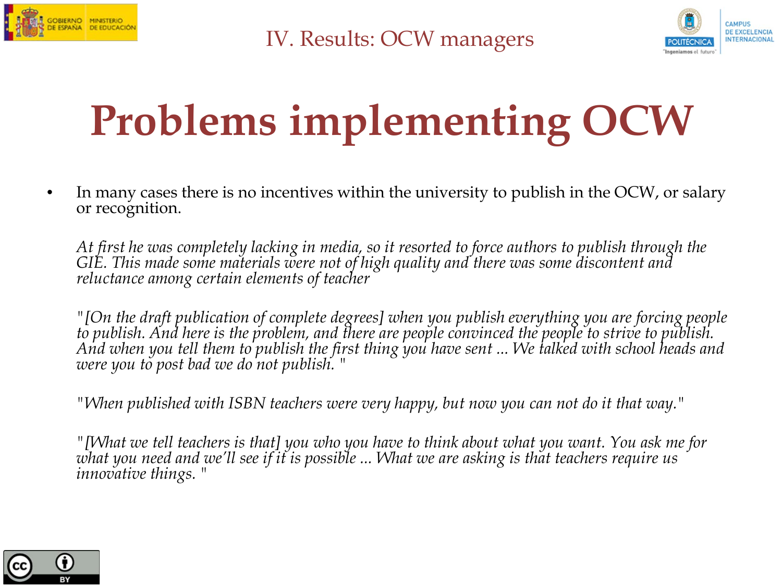



### **Problems implementing OCW**

• In many cases there is no incentives within the university to publish in the OCW, or salary or recognition.

*At first he was completely lacking in media, so it resorted to force authors to publish through the GIE. This made some materials were not of high quality and there was some discontent and reluctance among certain elements of teacher*

*"[On the draft publication of complete degrees] when you publish everything you are forcing people to publish. And here is the problem, and there are people convinced the people to strive to publish. And when you tell them to publish the first thing you have sent ... We talked with school heads and were you to post bad we do not publish. "*

*"When published with ISBN teachers were very happy, but now you can not do it that way."*

*"[What we tell teachers is that] you who you have to think about what you want. You ask me for what you need and we'll see if it is possible ... What we are asking is that teachers require us innovative things. "*

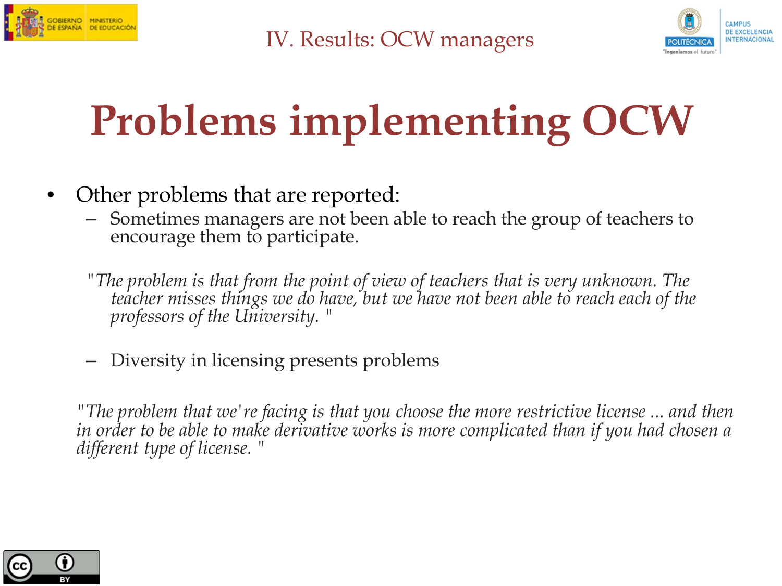



### **Problems implementing OCW**

- Other problems that are reported:
	- Sometimes managers are not been able to reach the group of teachers to encourage them to participate.
	- *"The problem is that from the point of view of teachers that is very unknown. The teacher misses things we do have, but we have not been able to reach each of the professors of the University. "*
	- Diversity in licensing presents problems

*"The problem that we're facing is that you choose the more restrictive license ... and then in order to be able to make derivative works is more complicated than if you had chosen a different type of license. "*

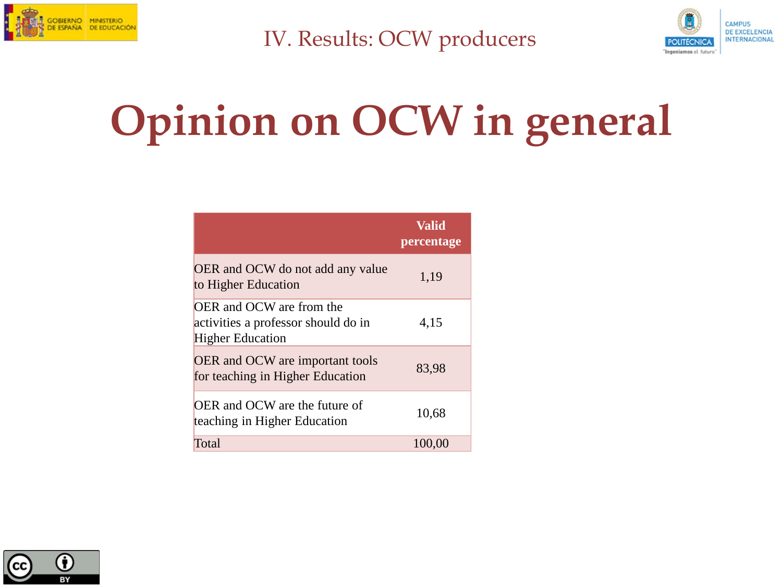



### **Opinion on OCW in general**

|                                                                                                          | Valid<br>percentage |
|----------------------------------------------------------------------------------------------------------|---------------------|
| OER and OCW do not add any value<br>to Higher Education                                                  | 1,19                |
| <b>OER</b> and <b>OCW</b> are from the<br>activities a professor should do in<br><b>Higher Education</b> | 4,15                |
| <b>OER</b> and <b>OCW</b> are important tools<br>for teaching in Higher Education                        | 83,98               |
| OER and OCW are the future of<br>teaching in Higher Education                                            | 10,68               |
| Total                                                                                                    | 100,00              |

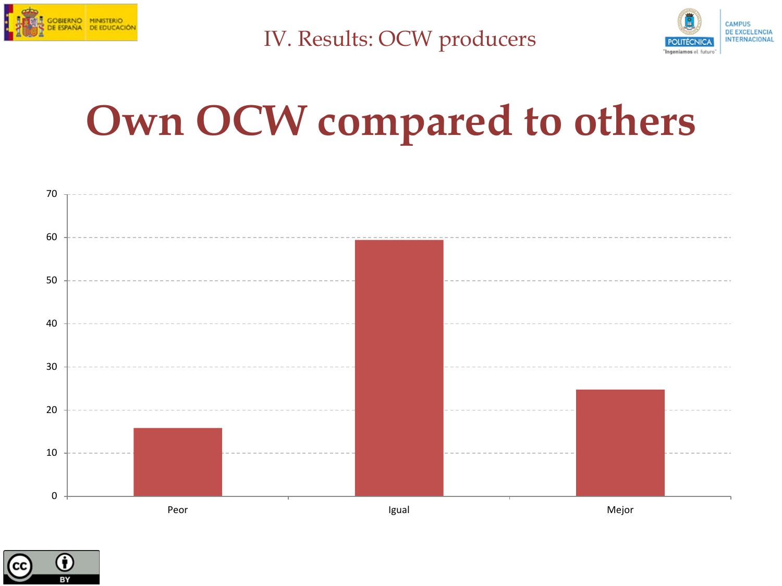



#### **Own OCW compared to others**



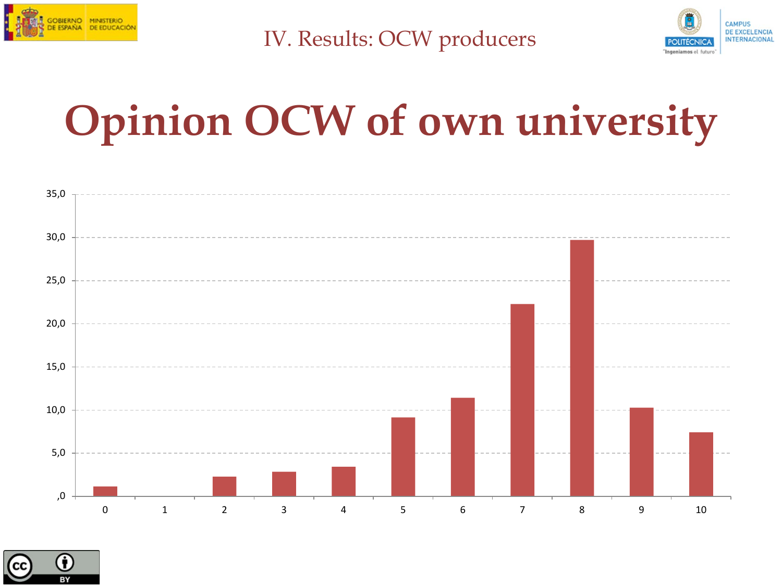



#### **Opinion OCW of own university**



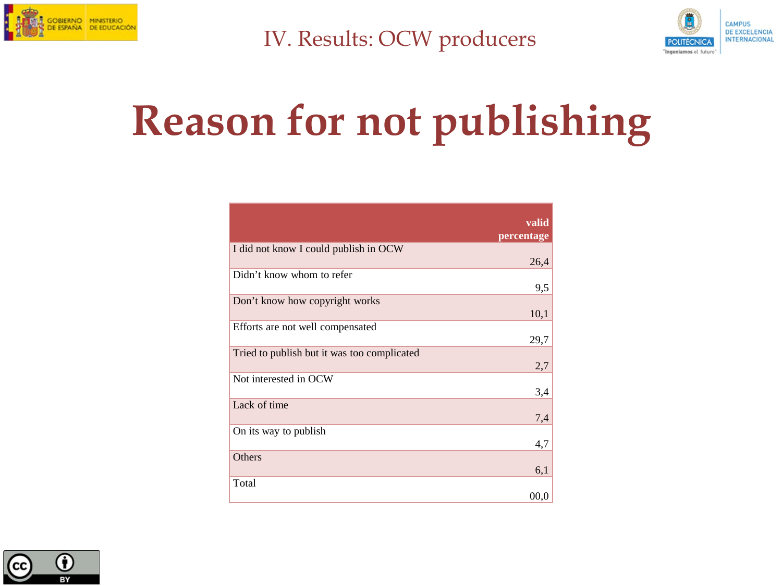



### **Reason for not publishing**

|                                             | valid<br>percentage |
|---------------------------------------------|---------------------|
| I did not know I could publish in OCW       | 26,4                |
| Didn't know whom to refer                   | 9,5                 |
| Don't know how copyright works              | 10,1                |
| Efforts are not well compensated            | 29,7                |
| Tried to publish but it was too complicated | 2,7                 |
| Not interested in OCW                       | 3,4                 |
| Lack of time                                | 7,4                 |
| On its way to publish                       | 4,7                 |
| Others                                      | 6,1                 |
| Total                                       | 00.0                |

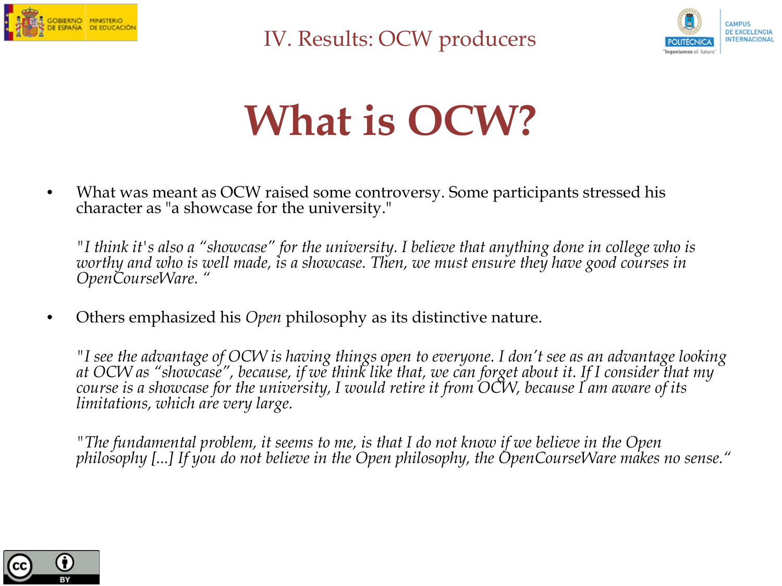



#### **What is OCW?**

• What was meant as OCW raised some controversy. Some participants stressed his character as "a showcase for the university."

*"I think it's also a "showcase" for the university. I believe that anything done in college who is worthy and who is well made, is a showcase. Then, we must ensure they have good courses in*<br>OpenCourseWare. "

• Others emphasized his *Open* philosophy as its distinctive nature.

*"I see the advantage of OCW is having things open to everyone. I don't see as an advantage looking at OCW as "showcase", because, if we think like that, we can forget about it. If I consider that my course is a showcase for the university, I would retire it from OCW, because I am aware of its limitations, which are very large.* 

*"The fundamental problem, it seems to me, is that I do not know if we believe in the Open philosophy [...] If you do not believe in the Open philosophy, the OpenCourseWare makes no sense."* 

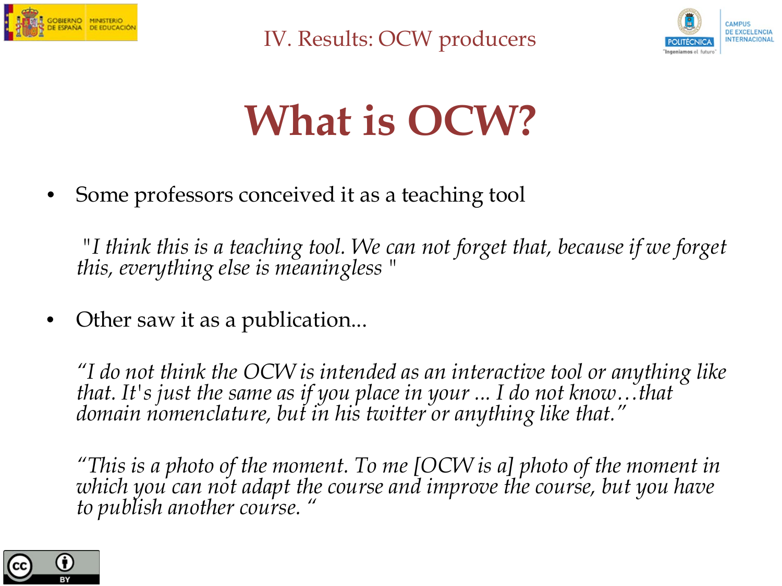



### **What is OCW?**

Some professors conceived it as a teaching tool

 *"I think this is a teaching tool. We can not forget that, because if we forget this, everything else is meaningless "*

• Other saw it as a publication...

*"I do not think the OCW is intended as an interactive tool or anything like that. It's just the same as if you place in your ... I do not know…that domain nomenclature, but in his twitter or anything like that."*

*"This is a photo of the moment. To me [OCW is a] photo of the moment in which you can not adapt the course and improve the course, but you have to publish another course. "* 

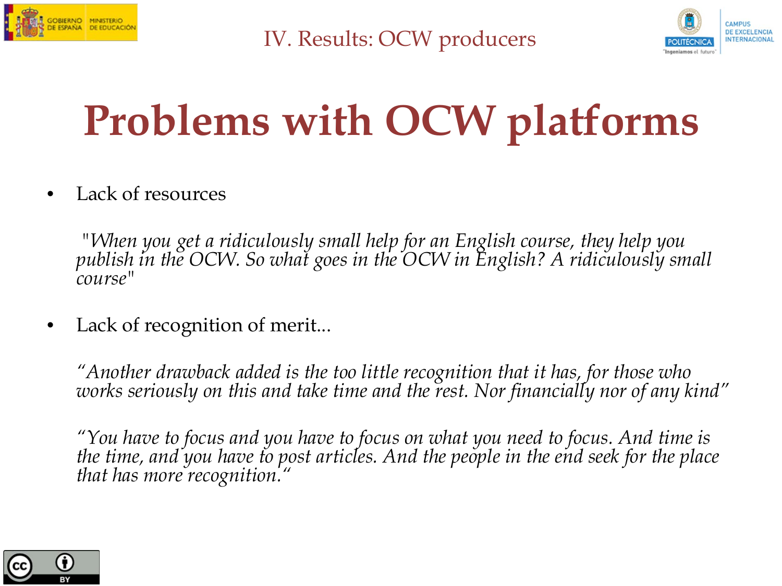



### **Problems with OCW platforms**

Lack of resources

 *"When you get a ridiculously small help for an English course, they help you publish in the OCW. So what goes in the OCW in English? A ridiculously small course"*

Lack of recognition of merit...

*"Another drawback added is the too little recognition that it has, for those who works seriously on this and take time and the rest. Nor financially nor of any kind"*

*"You have to focus and you have to focus on what you need to focus. And time is the time, and you have to post articles. And the people in the end seek for the place that has more recognition.* 

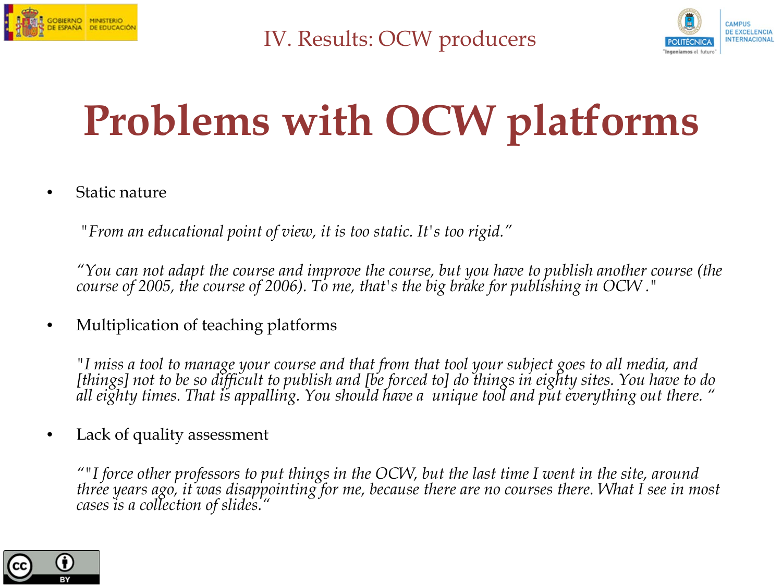



### **Problems with OCW platforms**

• Static nature

 *"From an educational point of view, it is too static. It's too rigid."*

*"You can not adapt the course and improve the course, but you have to publish another course (the course of 2005, the course of 2006). To me, that's the big brake for publishing in OCW ."*

• Multiplication of teaching platforms

*"I miss a tool to manage your course and that from that tool your subject goes to all media, and [things] not to be so difficult to publish and [be forced to] do things in eighty sites. You have to do all eighty times. That is appalling. You should have a unique tool and put everything out there. "*

Lack of quality assessment

*""I force other professors to put things in the OCW, but the last time I went in the site, around three years ago, it was disappointing for me, because there are no courses there. What I see in most cases is a collection of slides."* 

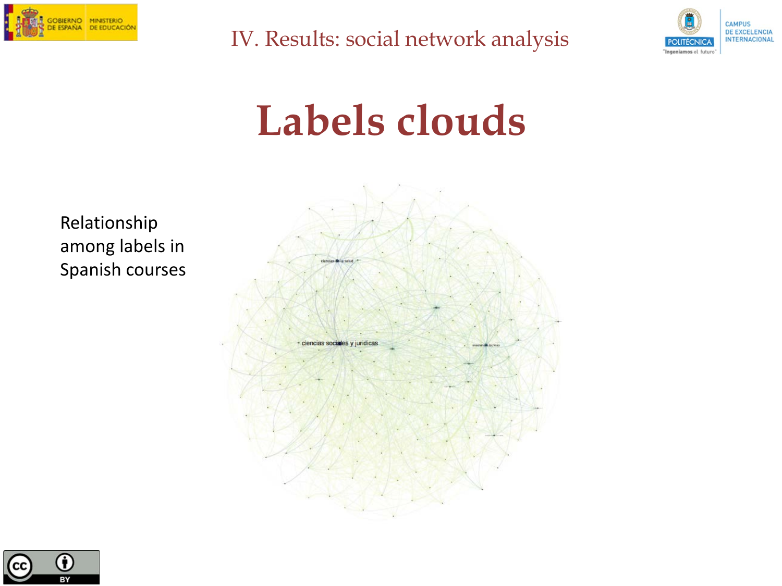

IV. Results: social network analysis



#### **Labels clouds**



Relationship among labels in Spanish courses

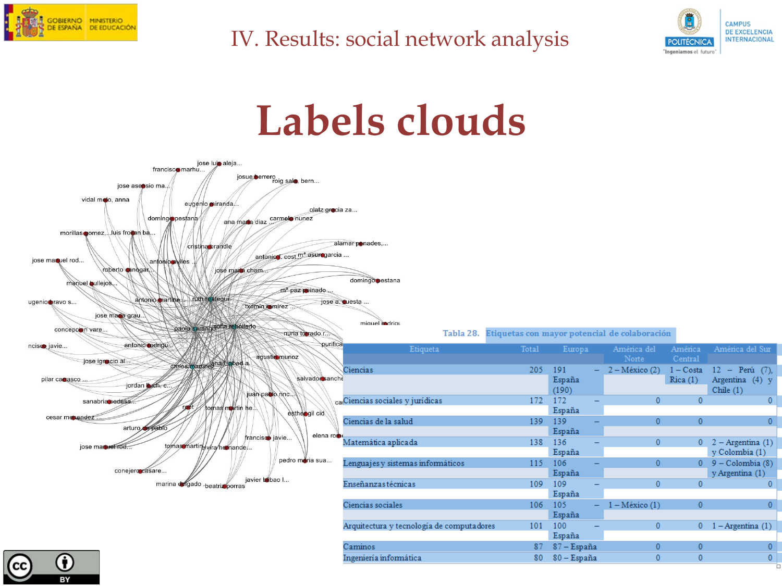

#### IV. Results: social network analysis



#### **Labels clouds**

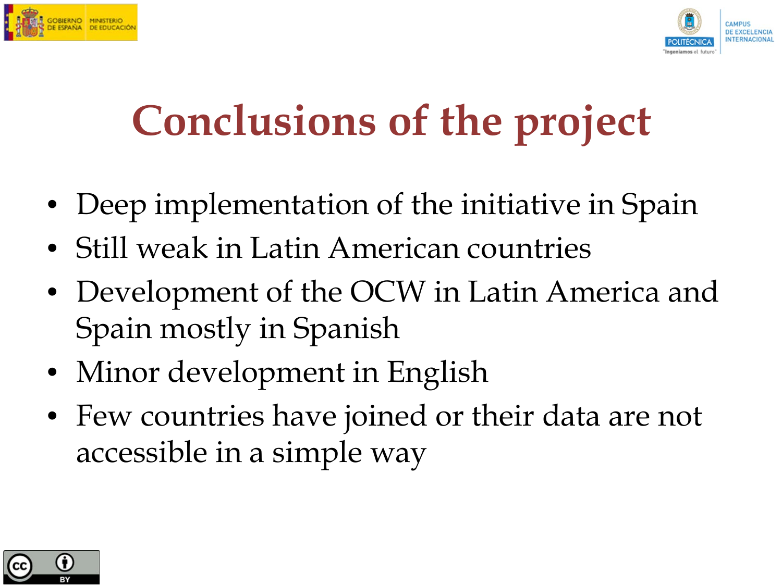



### **Conclusions of the project**

- Deep implementation of the initiative in Spain
- Still weak in Latin American countries
- Development of the OCW in Latin America and Spain mostly in Spanish
- Minor development in English
- Few countries have joined or their data are not accessible in a simple way

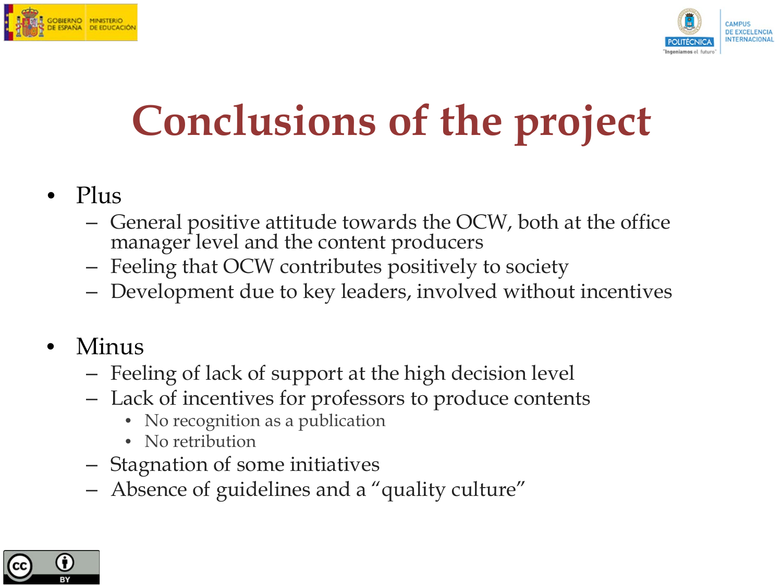



### **Conclusions of the project**

- Plus
	- General positive attitude towards the OCW, both at the office manager level and the content producers
	- Feeling that OCW contributes positively to society
	- Development due to key leaders, involved without incentives
- Minus
	- Feeling of lack of support at the high decision level
	- Lack of incentives for professors to produce contents
		- No recognition as a publication
		- No retribution
	- Stagnation of some initiatives
	- Absence of guidelines and a "quality culture"

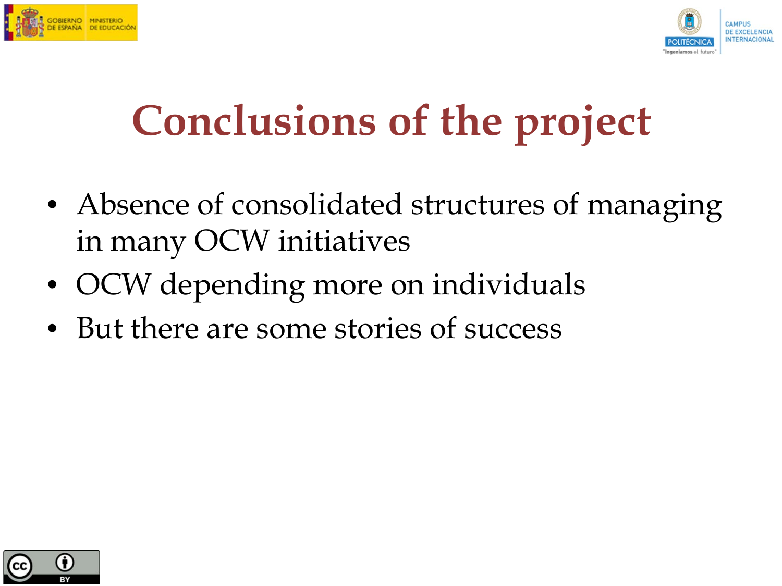



#### **Conclusions of the project**

- Absence of consolidated structures of managing in many OCW initiatives
- OCW depending more on individuals
- But there are some stories of success

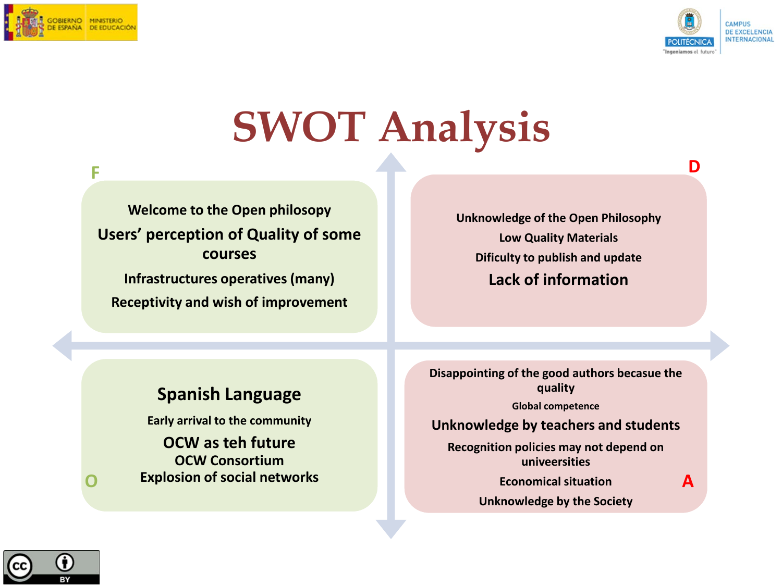



**D** 

#### **SWOT Analysis**

#### **Welcome to the Open philosopy Users' perception of Quality of some courses Infrastructures operatives (many) Receptivity and wish of improvement F**

**Unknowledge of the Open Philosophy Low Quality Materials Dificulty to publish and update Lack of information**

#### **Spanish Language**

**Early arrival to the community OCW as teh future OCW Consortium Explosion of social networks** **Disappointing of the good authors becasue the quality**

**Global competence**

#### **Unknowledge by teachers and students**

**Recognition policies may not depend on univeersities**

**Economical situation**

**A** 

**Unknowledge by the Society**

**O**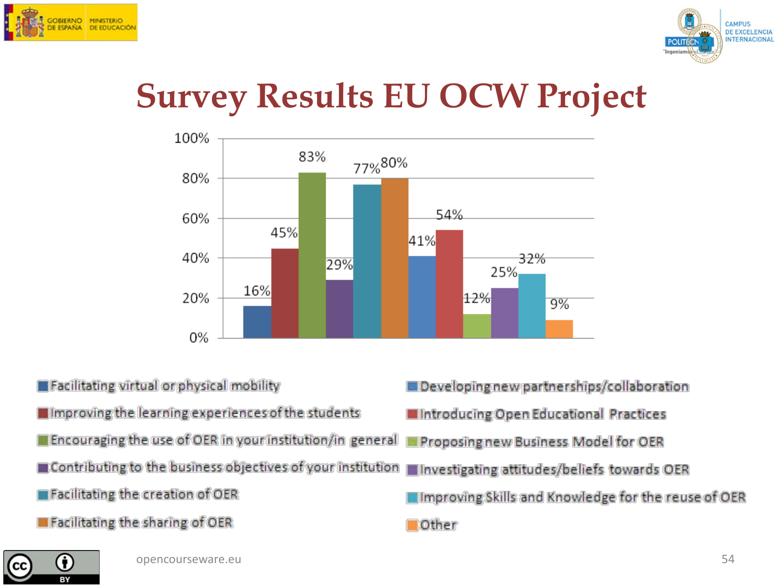



#### **Survey Results EU OCW Project**



**Excilitating virtual or physical mobility** Improving the learning experiences of the students **Encouraging the use of OER in your institution/in general** Contributing to the business objectives of your institution **Efacilitating the creation of OER E** Facilitating the sharing of OER

Developing new partnerships/collaboration Introducing Open Educational Practices Proposing new Business Model for OER Investigating attitudes/beliefs towards OER Improving Skills and Knowledge for the reuse of OER Other

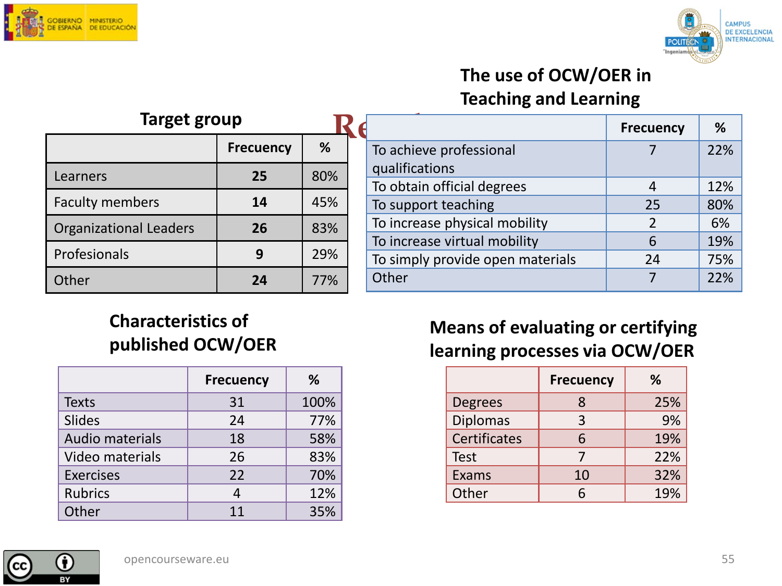



#### **The use of OCW/OER in Teaching and Learning**

| Target group                  |                  |     |
|-------------------------------|------------------|-----|
|                               | <b>Frecuency</b> | %   |
| Learners                      | 25               | 80% |
| <b>Faculty members</b>        | 14               | 45% |
| <b>Organizational Leaders</b> | 26               | 83% |
| Profesionals                  | q                | 29% |
| Other                         | 24               | 77% |

|             |                                  |                               | <b>Frecuency</b>         | %   |
|-------------|----------------------------------|-------------------------------|--------------------------|-----|
|             |                                  | To achieve professional       |                          | 22% |
| 6<br>,<br>6 |                                  | qualifications                |                          |     |
|             |                                  | To obtain official degrees    |                          | 12% |
|             |                                  | To support teaching           | 25                       | 80% |
| 6           |                                  | To increase physical mobility | $\overline{\phantom{a}}$ | 6%  |
| ,<br>6      | To increase virtual mobility     | 6                             | 19%                      |     |
|             | To simply provide open materials | 24                            | 75%                      |     |
| 6           |                                  | Other                         |                          | 22% |

#### **Characteristics of published OCW/OER**

|                        | <b>Frecuency</b> | ℅    |
|------------------------|------------------|------|
| <b>Texts</b>           | 31               | 100% |
| <b>Slides</b>          | 24               | 77%  |
| <b>Audio materials</b> | 18               | 58%  |
| Video materials        | 26               | 83%  |
| <b>Exercises</b>       | 22               | 70%  |
| <b>Rubrics</b>         |                  | 12%  |
| Other                  | 11               | 35%  |

#### **Means of evaluating or certifying learning processes via OCW/OER**

|                     | <b>Frecuency</b> | ℅   |
|---------------------|------------------|-----|
| <b>Degrees</b>      | 8                | 25% |
| <b>Diplomas</b>     | 3                | 9%  |
| <b>Certificates</b> | 6                | 19% |
| <b>Test</b>         |                  | 22% |
| Exams               | 10               | 32% |
| Other               |                  | 19% |

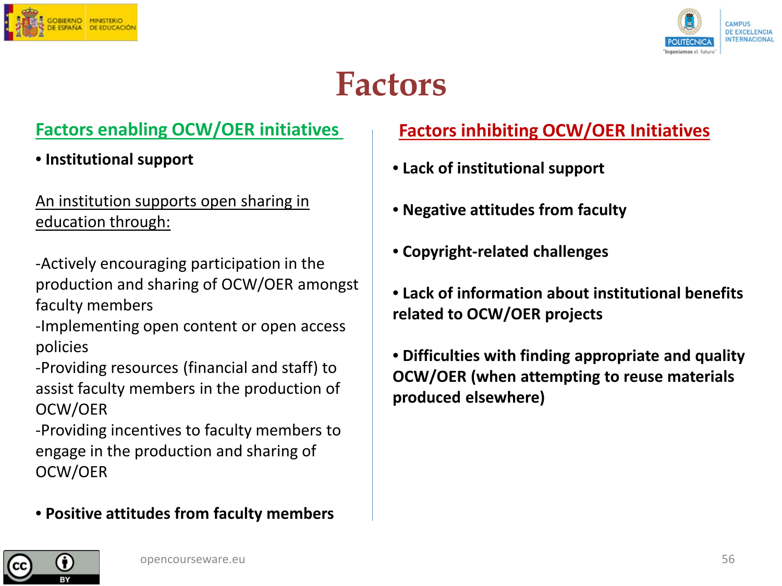



#### **Factors**

• **Institutional support**

An institution supports open sharing in education through:

- -Actively encouraging participation in the production and sharing of OCW/OER amongst faculty members
- -Implementing open content or open access policies
- -Providing resources (financial and staff) to assist faculty members in the production of OCW/OER

-Providing incentives to faculty members to engage in the production and sharing of OCW/OER

#### • **Positive attitudes from faculty members**

#### **Factors enabling OCW/OER initiatives Factors inhibiting OCW/OER Initiatives**

- **Lack of institutional support**
- **Negative attitudes from faculty**
- **Copyright-related challenges**
- **Lack of information about institutional benefits related to OCW/OER projects**
- **Difficulties with finding appropriate and quality OCW/OER (when attempting to reuse materials produced elsewhere)**

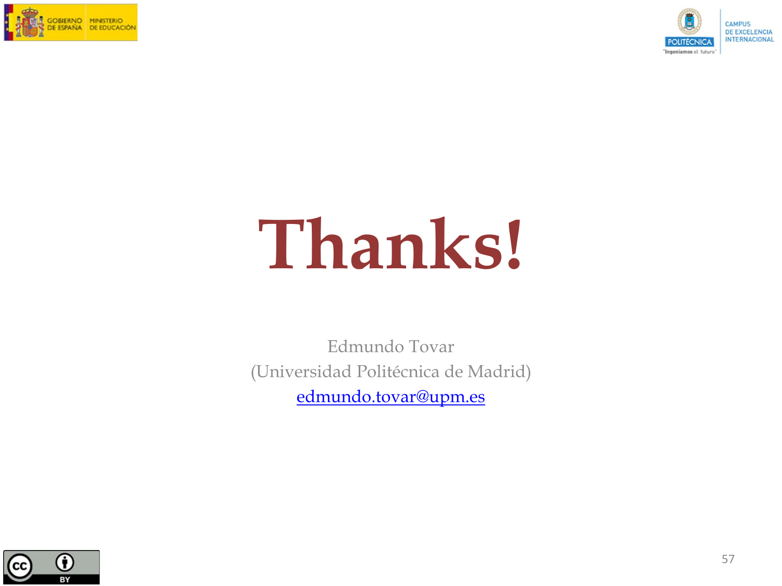



# **Thanks!**

Edmundo Tovar (Universidad Politécnica de Madrid) [edmundo.tovar@upm.es](mailto:edmundo.tovar@upm.es)